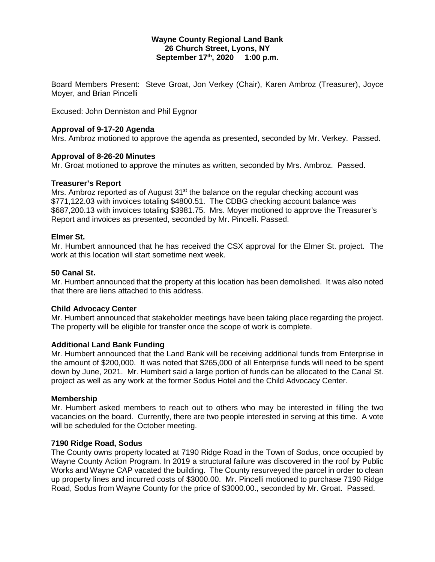### **Wayne County Regional Land Bank 26 Church Street, Lyons, NY September 17th, 2020 1:00 p.m.**

Board Members Present: Steve Groat, Jon Verkey (Chair), Karen Ambroz (Treasurer), Joyce Moyer, and Brian Pincelli

Excused: John Denniston and Phil Eygnor

# **Approval of 9-17-20 Agenda**

Mrs. Ambroz motioned to approve the agenda as presented, seconded by Mr. Verkey. Passed.

# **Approval of 8-26-20 Minutes**

Mr. Groat motioned to approve the minutes as written, seconded by Mrs. Ambroz. Passed.

# **Treasurer's Report**

Mrs. Ambroz reported as of August  $31<sup>st</sup>$  the balance on the regular checking account was \$771,122.03 with invoices totaling \$4800.51. The CDBG checking account balance was \$687,200.13 with invoices totaling \$3981.75. Mrs. Moyer motioned to approve the Treasurer's Report and invoices as presented, seconded by Mr. Pincelli. Passed.

# **Elmer St.**

Mr. Humbert announced that he has received the CSX approval for the Elmer St. project. The work at this location will start sometime next week.

### **50 Canal St.**

Mr. Humbert announced that the property at this location has been demolished. It was also noted that there are liens attached to this address.

### **Child Advocacy Center**

Mr. Humbert announced that stakeholder meetings have been taking place regarding the project. The property will be eligible for transfer once the scope of work is complete.

### **Additional Land Bank Funding**

Mr. Humbert announced that the Land Bank will be receiving additional funds from Enterprise in the amount of \$200,000. It was noted that \$265,000 of all Enterprise funds will need to be spent down by June, 2021. Mr. Humbert said a large portion of funds can be allocated to the Canal St. project as well as any work at the former Sodus Hotel and the Child Advocacy Center.

### **Membership**

Mr. Humbert asked members to reach out to others who may be interested in filling the two vacancies on the board. Currently, there are two people interested in serving at this time. A vote will be scheduled for the October meeting.

### **7190 Ridge Road, Sodus**

The County owns property located at 7190 Ridge Road in the Town of Sodus, once occupied by Wayne County Action Program. In 2019 a structural failure was discovered in the roof by Public Works and Wayne CAP vacated the building. The County resurveyed the parcel in order to clean up property lines and incurred costs of \$3000.00. Mr. Pincelli motioned to purchase 7190 Ridge Road, Sodus from Wayne County for the price of \$3000.00., seconded by Mr. Groat. Passed.